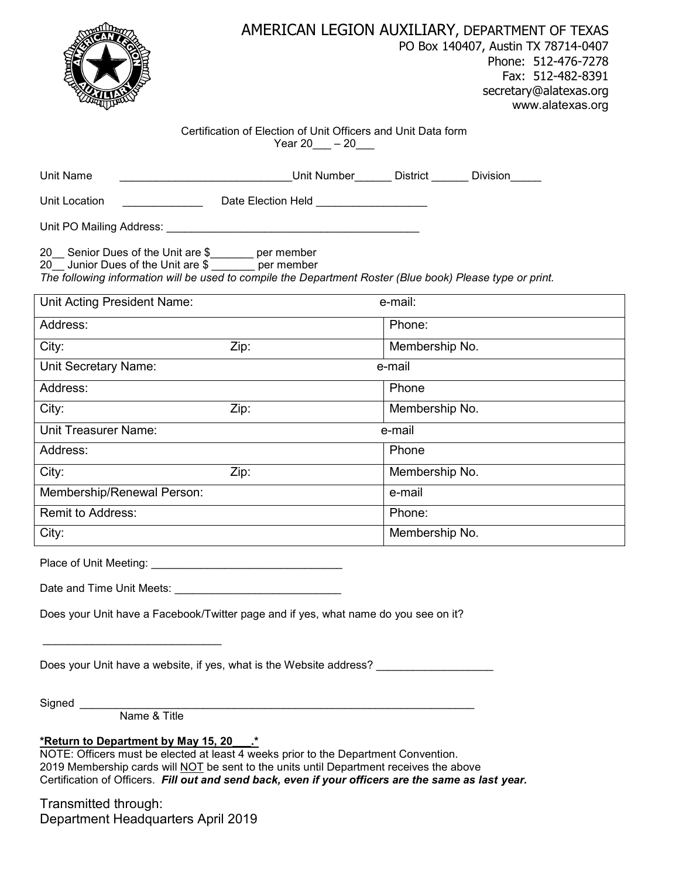

## Certification of Election of Unit Officers and Unit Data form Year 20  $-20$

| Unit Name                                                                                                                                                                                                                   | <b>Example 19 Unit Number Construction Division</b> |                |  |
|-----------------------------------------------------------------------------------------------------------------------------------------------------------------------------------------------------------------------------|-----------------------------------------------------|----------------|--|
| Unit Location                                                                                                                                                                                                               | Date Election Held <b>Constantine Construction</b>  |                |  |
|                                                                                                                                                                                                                             |                                                     |                |  |
| 20 Senior Dues of the Unit are \$<br>1991 - Seri member<br>20 Junior Dues of the Unit are \$ ______ per member<br>The following information will be used to compile the Department Roster (Blue book) Please type or print. |                                                     |                |  |
| Unit Acting President Name:                                                                                                                                                                                                 |                                                     | e-mail:        |  |
| Address:                                                                                                                                                                                                                    |                                                     | Phone:         |  |
| City:                                                                                                                                                                                                                       | Zip:                                                | Membership No. |  |
| Unit Secretary Name:                                                                                                                                                                                                        |                                                     | e-mail         |  |
| Address:                                                                                                                                                                                                                    |                                                     | Phone          |  |
| City:                                                                                                                                                                                                                       | Zip:                                                | Membership No. |  |
| <b>Unit Treasurer Name:</b>                                                                                                                                                                                                 |                                                     | e-mail         |  |
| Address:                                                                                                                                                                                                                    |                                                     | Phone          |  |
| City:                                                                                                                                                                                                                       | Zip:                                                | Membership No. |  |
| Membership/Renewal Person:                                                                                                                                                                                                  |                                                     | e-mail         |  |
| Remit to Address:                                                                                                                                                                                                           |                                                     | Phone:         |  |
| City:                                                                                                                                                                                                                       |                                                     | Membership No. |  |
|                                                                                                                                                                                                                             |                                                     |                |  |
| Date and Time Unit Meets: Date and Time Unit Meets:                                                                                                                                                                         |                                                     |                |  |

Does your Unit have a Facebook/Twitter page and if yes, what name do you see on it?

Does your Unit have a website, if yes, what is the Website address?

Signed \_

Name & Title

## **\*Return to Department by May 15, 20\_\_\_.\***

\_\_\_\_\_\_\_\_\_\_\_\_\_\_\_\_\_\_\_\_\_\_\_\_\_\_\_\_\_

NOTE: Officers must be elected at least 4 weeks prior to the Department Convention. 2019 Membership cards will NOT be sent to the units until Department receives the above Certification of Officers. *Fill out and send back, even if your officers are the same as last year.*

Transmitted through: Department Headquarters April 2019